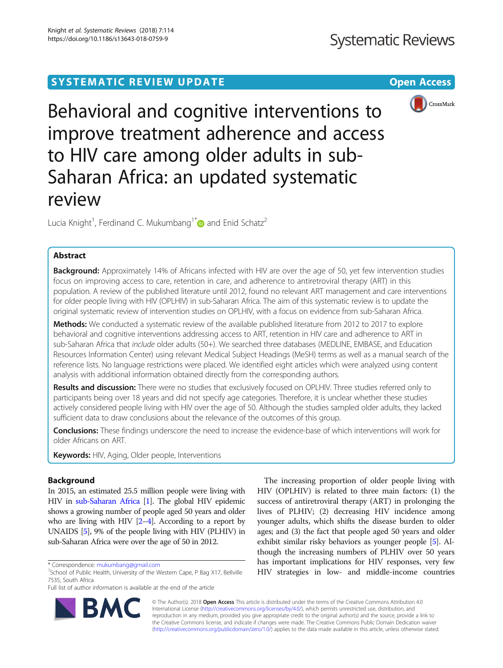# SYSTEMATIC REVIEW UPDATE And the contract of the open Access



Behavioral and cognitive interventions to improve treatment adherence and access to HIV care among older adults in sub-Saharan Africa: an updated systematic review

Lucia Knight<sup>1</sup>, Ferdinand C. Mukumbang<sup>1[\\*](http://orcid.org/0000-0003-1441-2172)</sup> and Enid Schatz<sup>2</sup>

## Abstract

Background: Approximately 14% of Africans infected with HIV are over the age of 50, yet few intervention studies focus on improving access to care, retention in care, and adherence to antiretroviral therapy (ART) in this population. A review of the published literature until 2012, found no relevant ART management and care interventions for older people living with HIV (OPLHIV) in sub-Saharan Africa. The aim of this systematic review is to update the original systematic review of intervention studies on OPLHIV, with a focus on evidence from sub-Saharan Africa.

Methods: We conducted a systematic review of the available published literature from 2012 to 2017 to explore behavioral and cognitive interventions addressing access to ART, retention in HIV care and adherence to ART in sub-Saharan Africa that include older adults (50+). We searched three databases (MEDLINE, EMBASE, and Education Resources Information Center) using relevant Medical Subject Headings (MeSH) terms as well as a manual search of the reference lists. No language restrictions were placed. We identified eight articles which were analyzed using content analysis with additional information obtained directly from the corresponding authors.

Results and discussion: There were no studies that exclusively focused on OPLHIV. Three studies referred only to participants being over 18 years and did not specify age categories. Therefore, it is unclear whether these studies actively considered people living with HIV over the age of 50. Although the studies sampled older adults, they lacked sufficient data to draw conclusions about the relevance of the outcomes of this group.

Conclusions: These findings underscore the need to increase the evidence-base of which interventions will work for older Africans on ART.

Keywords: HIV, Aging, Older people, Interventions

## Background

In 2015, an estimated 25.5 million people were living with HIV in [sub-Saharan Africa](http://www.avert.org/node/393) [[1](#page-8-0)]. The global HIV epidemic shows a growing number of people aged 50 years and older who are living with HIV  $[2-4]$  $[2-4]$  $[2-4]$  $[2-4]$ . According to a report by UNAIDS [[5](#page-8-0)], 9% of the people living with HIV (PLHIV) in sub-Saharan Africa were over the age of 50 in 2012.

Full list of author information is available at the end of the article



The increasing proportion of older people living with HIV (OPLHIV) is related to three main factors: (1) the success of antiretroviral therapy (ART) in prolonging the lives of PLHIV; (2) decreasing HIV incidence among younger adults, which shifts the disease burden to older ages; and (3) the fact that people aged 50 years and older exhibit similar risky behaviors as younger people [\[5\]](#page-8-0). Although the increasing numbers of PLHIV over 50 years has important implications for HIV responses, very few HIV strategies in low- and middle-income countries

© The Author(s). 2018 Open Access This article is distributed under the terms of the Creative Commons Attribution 4.0 International License [\(http://creativecommons.org/licenses/by/4.0/](http://creativecommons.org/licenses/by/4.0/)), which permits unrestricted use, distribution, and reproduction in any medium, provided you give appropriate credit to the original author(s) and the source, provide a link to the Creative Commons license, and indicate if changes were made. The Creative Commons Public Domain Dedication waiver [\(http://creativecommons.org/publicdomain/zero/1.0/](http://creativecommons.org/publicdomain/zero/1.0/)) applies to the data made available in this article, unless otherwise stated.

<sup>\*</sup> Correspondence: [mukumbang@gmail.com](mailto:mukumbang@gmail.com) <sup>1</sup>

<sup>&</sup>lt;sup>1</sup>School of Public Health, University of the Western Cape, P Bag X17, Bellville 7535, South Africa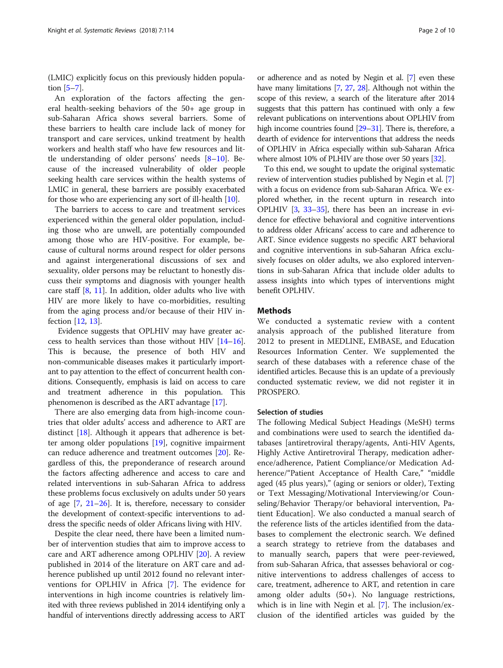(LMIC) explicitly focus on this previously hidden population  $[5-7]$  $[5-7]$  $[5-7]$ .

An exploration of the factors affecting the general health-seeking behaviors of the 50+ age group in sub-Saharan Africa shows several barriers. Some of these barriers to health care include lack of money for transport and care services, unkind treatment by health workers and health staff who have few resources and little understanding of older persons' needs [[8](#page-8-0)–[10](#page-8-0)]. Because of the increased vulnerability of older people seeking health care services within the health systems of LMIC in general, these barriers are possibly exacerbated for those who are experiencing any sort of ill-health [\[10\]](#page-8-0).

The barriers to access to care and treatment services experienced within the general older population, including those who are unwell, are potentially compounded among those who are HIV-positive. For example, because of cultural norms around respect for older persons and against intergenerational discussions of sex and sexuality, older persons may be reluctant to honestly discuss their symptoms and diagnosis with younger health care staff  $[8, 11]$  $[8, 11]$  $[8, 11]$  $[8, 11]$  $[8, 11]$ . In addition, older adults who live with HIV are more likely to have co-morbidities, resulting from the aging process and/or because of their HIV infection [[12,](#page-8-0) [13\]](#page-8-0).

Evidence suggests that OPLHIV may have greater access to health services than those without HIV [\[14](#page-8-0)–[16](#page-8-0)]. This is because, the presence of both HIV and non-communicable diseases makes it particularly important to pay attention to the effect of concurrent health conditions. Consequently, emphasis is laid on access to care and treatment adherence in this population. This phenomenon is described as the ART advantage [\[17\]](#page-8-0).

There are also emerging data from high-income countries that older adults' access and adherence to ART are distinct [[18\]](#page-8-0). Although it appears that adherence is better among older populations [\[19\]](#page-8-0), cognitive impairment can reduce adherence and treatment outcomes [[20\]](#page-8-0). Regardless of this, the preponderance of research around the factors affecting adherence and access to care and related interventions in sub-Saharan Africa to address these problems focus exclusively on adults under 50 years of age  $[7, 21–26]$  $[7, 21–26]$  $[7, 21–26]$  $[7, 21–26]$  $[7, 21–26]$  $[7, 21–26]$ . It is, therefore, necessary to consider the development of context-specific interventions to address the specific needs of older Africans living with HIV.

Despite the clear need, there have been a limited number of intervention studies that aim to improve access to care and ART adherence among OPLHIV [\[20](#page-8-0)]. A review published in 2014 of the literature on ART care and adherence published up until 2012 found no relevant interventions for OPLHIV in Africa [\[7](#page-8-0)]. The evidence for interventions in high income countries is relatively limited with three reviews published in 2014 identifying only a handful of interventions directly addressing access to ART

or adherence and as noted by Negin et al. [[7](#page-8-0)] even these have many limitations [[7](#page-8-0), [27](#page-8-0), [28\]](#page-8-0). Although not within the scope of this review, a search of the literature after 2014 suggests that this pattern has continued with only a few relevant publications on interventions about OPLHIV from high income countries found [\[29](#page-8-0)–[31](#page-8-0)]. There is, therefore, a dearth of evidence for interventions that address the needs of OPLHIV in Africa especially within sub-Saharan Africa where almost 10% of PLHIV are those over 50 years [[32\]](#page-8-0).

To this end, we sought to update the original systematic review of intervention studies published by Negin et al. [[7](#page-8-0)] with a focus on evidence from sub-Saharan Africa. We explored whether, in the recent upturn in research into OPLHIV [\[3,](#page-8-0) [33](#page-8-0)–[35\]](#page-8-0), there has been an increase in evidence for effective behavioral and cognitive interventions to address older Africans' access to care and adherence to ART. Since evidence suggests no specific ART behavioral and cognitive interventions in sub-Saharan Africa exclusively focuses on older adults, we also explored interventions in sub-Saharan Africa that include older adults to assess insights into which types of interventions might benefit OPLHIV.

## **Methods**

We conducted a systematic review with a content analysis approach of the published literature from 2012 to present in MEDLINE, EMBASE, and Education Resources Information Center. We supplemented the search of these databases with a reference chase of the identified articles. Because this is an update of a previously conducted systematic review, we did not register it in PROSPERO.

## Selection of studies

The following Medical Subject Headings (MeSH) terms and combinations were used to search the identified databases [antiretroviral therapy/agents, Anti-HIV Agents, Highly Active Antiretroviral Therapy, medication adherence/adherence, Patient Compliance/or Medication Adherence/"Patient Acceptance of Health Care," "middle aged (45 plus years)," (aging or seniors or older), Texting or Text Messaging/Motivational Interviewing/or Counseling/Behavior Therapy/or behavioral intervention, Patient Education]. We also conducted a manual search of the reference lists of the articles identified from the databases to complement the electronic search. We defined a search strategy to retrieve from the databases and to manually search, papers that were peer-reviewed, from sub-Saharan Africa, that assesses behavioral or cognitive interventions to address challenges of access to care, treatment, adherence to ART, and retention in care among older adults (50+). No language restrictions, which is in line with Negin et al. [\[7\]](#page-8-0). The inclusion/exclusion of the identified articles was guided by the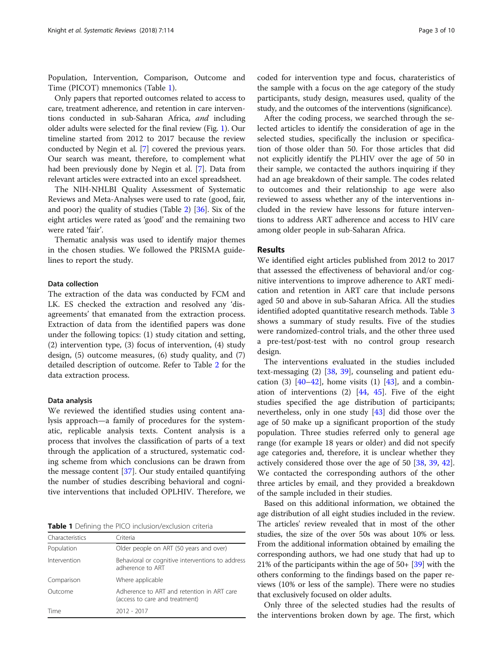Population, Intervention, Comparison, Outcome and Time (PICOT) mnemonics (Table 1).

Only papers that reported outcomes related to access to care, treatment adherence, and retention in care interventions conducted in sub-Saharan Africa, and including older adults were selected for the final review (Fig. [1](#page-3-0)). Our timeline started from 2012 to 2017 because the review conducted by Negin et al. [[7\]](#page-8-0) covered the previous years. Our search was meant, therefore, to complement what had been previously done by Negin et al. [[7](#page-8-0)]. Data from relevant articles were extracted into an excel spreadsheet.

The NIH-NHLBI Quality Assessment of Systematic Reviews and Meta-Analyses were used to rate (good, fair, and poor) the quality of studies (Table [2](#page-4-0)) [[36](#page-8-0)]. Six of the eight articles were rated as 'good' and the remaining two were rated 'fair'.

Thematic analysis was used to identify major themes in the chosen studies. We followed the PRISMA guidelines to report the study.

## Data collection

The extraction of the data was conducted by FCM and LK. ES checked the extraction and resolved any 'disagreements' that emanated from the extraction process. Extraction of data from the identified papers was done under the following topics: (1) study citation and setting, (2) intervention type, (3) focus of intervention, (4) study design, (5) outcome measures, (6) study quality, and (7) detailed description of outcome. Refer to Table [2](#page-4-0) for the data extraction process.

## Data analysis

We reviewed the identified studies using content analysis approach—a family of procedures for the systematic, replicable analysis texts. Content analysis is a process that involves the classification of parts of a text through the application of a structured, systematic coding scheme from which conclusions can be drawn from the message content [[37](#page-8-0)]. Our study entailed quantifying the number of studies describing behavioral and cognitive interventions that included OPLHIV. Therefore, we

Table 1 Defining the PICO inclusion/exclusion criteria

| Characteristics | Criteria                                                                     |
|-----------------|------------------------------------------------------------------------------|
| Population      | Older people on ART (50 years and over)                                      |
| Intervention    | Behavioral or cognitive interventions to address<br>adherence to ART         |
| Comparison      | Where applicable                                                             |
| Outcome         | Adherence to ART and retention in ART care<br>(access to care and treatment) |
| Time            | $2012 - 2017$                                                                |

coded for intervention type and focus, charateristics of the sample with a focus on the age category of the study participants, study design, measures used, quality of the study, and the outcomes of the interventions (significance).

After the coding process, we searched through the selected articles to identify the consideration of age in the selected studies, specifically the inclusion or specification of those older than 50. For those articles that did not explicitly identify the PLHIV over the age of 50 in their sample, we contacted the authors inquiring if they had an age breakdown of their sample. The codes related to outcomes and their relationship to age were also reviewed to assess whether any of the interventions included in the review have lessons for future interventions to address ART adherence and access to HIV care among older people in sub-Saharan Africa.

## Results

We identified eight articles published from 2012 to 2017 that assessed the effectiveness of behavioral and/or cognitive interventions to improve adherence to ART medication and retention in ART care that include persons aged 50 and above in sub-Saharan Africa. All the studies identified adopted quantitative research methods. Table [3](#page-7-0) shows a summary of study results. Five of the studies were randomized-control trials, and the other three used a pre-test/post-test with no control group research design.

The interventions evaluated in the studies included text-messaging (2) [\[38](#page-8-0), [39\]](#page-9-0), counseling and patient education (3)  $[40-42]$  $[40-42]$  $[40-42]$ , home visits (1)  $[43]$  $[43]$ , and a combination of interventions (2) [[44,](#page-9-0) [45](#page-9-0)]. Five of the eight studies specified the age distribution of participants; nevertheless, only in one study [\[43](#page-9-0)] did those over the age of 50 make up a significant proportion of the study population. Three studies referred only to general age range (for example 18 years or older) and did not specify age categories and, therefore, it is unclear whether they actively considered those over the age of 50 [[38,](#page-8-0) [39,](#page-9-0) [42](#page-9-0)]. We contacted the corresponding authors of the other three articles by email, and they provided a breakdown of the sample included in their studies.

Based on this additional information, we obtained the age distribution of all eight studies included in the review. The articles' review revealed that in most of the other studies, the size of the over 50s was about 10% or less. From the additional information obtained by emailing the corresponding authors, we had one study that had up to 21% of the participants within the age of 50+ [\[39\]](#page-9-0) with the others conforming to the findings based on the paper reviews (10% or less of the sample). There were no studies that exclusively focused on older adults.

Only three of the selected studies had the results of the interventions broken down by age. The first, which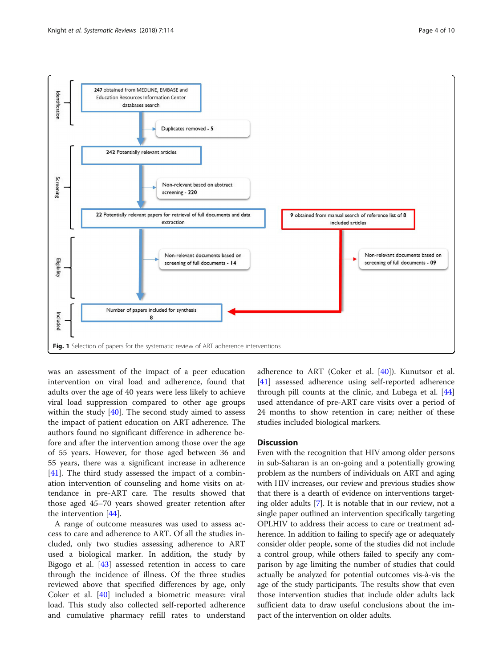<span id="page-3-0"></span>

was an assessment of the impact of a peer education intervention on viral load and adherence, found that adults over the age of 40 years were less likely to achieve viral load suppression compared to other age groups within the study [[40\]](#page-9-0). The second study aimed to assess the impact of patient education on ART adherence. The authors found no significant difference in adherence before and after the intervention among those over the age of 55 years. However, for those aged between 36 and 55 years, there was a significant increase in adherence  $[41]$  $[41]$ . The third study assessed the impact of a combination intervention of counseling and home visits on attendance in pre-ART care. The results showed that those aged 45–70 years showed greater retention after the intervention [[44\]](#page-9-0).

A range of outcome measures was used to assess access to care and adherence to ART. Of all the studies included, only two studies assessing adherence to ART used a biological marker. In addition, the study by Bigogo et al. [\[43\]](#page-9-0) assessed retention in access to care through the incidence of illness. Of the three studies reviewed above that specified differences by age, only Coker et al. [[40](#page-9-0)] included a biometric measure: viral load. This study also collected self-reported adherence and cumulative pharmacy refill rates to understand adherence to ART (Coker et al. [[40](#page-9-0)]). Kunutsor et al. [[41\]](#page-9-0) assessed adherence using self-reported adherence through pill counts at the clinic, and Lubega et al. [[44](#page-9-0)] used attendance of pre-ART care visits over a period of 24 months to show retention in care; neither of these studies included biological markers.

## **Discussion**

Even with the recognition that HIV among older persons in sub-Saharan is an on-going and a potentially growing problem as the numbers of individuals on ART and aging with HIV increases, our review and previous studies show that there is a dearth of evidence on interventions targeting older adults [\[7](#page-8-0)]. It is notable that in our review, not a single paper outlined an intervention specifically targeting OPLHIV to address their access to care or treatment adherence. In addition to failing to specify age or adequately consider older people, some of the studies did not include a control group, while others failed to specify any comparison by age limiting the number of studies that could actually be analyzed for potential outcomes vis-à-vis the age of the study participants. The results show that even those intervention studies that include older adults lack sufficient data to draw useful conclusions about the impact of the intervention on older adults.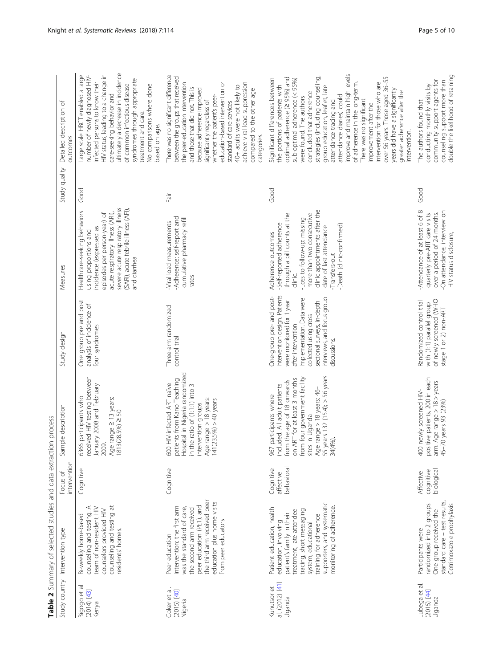<span id="page-4-0"></span>

|                                            | Study country Intervention type                                                                                                                                                                                                                   | intervention<br>Focus of             | Sample description                                                                                                                                                                                                                                      | Study design                                                                                                                                                                                                                                      | Measures                                                                                                                                                                                                                                                       | Study quality | Detailed description of<br>outcomes                                                                                                                                                                                                                                                                                                                                                                                                                                                                                                                                                                       |
|--------------------------------------------|---------------------------------------------------------------------------------------------------------------------------------------------------------------------------------------------------------------------------------------------------|--------------------------------------|---------------------------------------------------------------------------------------------------------------------------------------------------------------------------------------------------------------------------------------------------------|---------------------------------------------------------------------------------------------------------------------------------------------------------------------------------------------------------------------------------------------------|----------------------------------------------------------------------------------------------------------------------------------------------------------------------------------------------------------------------------------------------------------------|---------------|-----------------------------------------------------------------------------------------------------------------------------------------------------------------------------------------------------------------------------------------------------------------------------------------------------------------------------------------------------------------------------------------------------------------------------------------------------------------------------------------------------------------------------------------------------------------------------------------------------------|
| Bigogo et al<br>$(2014)$ [43]<br>Kenya     | counseling and testing at<br>counseling and testing. A<br>team of non-resident HIV<br>counselors provided HIV<br>Bi-weekly home-based<br>residents' homes.                                                                                        | Cognitive                            | received HIV testing between<br>January 2008 and February<br>6366 participants who<br>Age range 213 years:<br>1813(28.5%) 2 50<br>2009.                                                                                                                 | One group pre and post<br>analysis of incidence of<br>four syndromes                                                                                                                                                                              | severe acute respiratory illness<br>(SARI), acute febrile illness (AFI),<br>Healthcare-seeking behaviors<br>episodes per person-year) of<br>acute respiratory illness (ARI),<br>ncidence (expressed as<br>using proportions and<br>and diarrhea                | Good          | ultimately a decrease in incidence<br>HIV status, leading to a change in<br>Large scale HBCT enabled a large<br>number of newly diagnosed HIV-<br>syndromes through appropriate<br>infected persons to know their<br>of common infectious disease<br>No comparisons where done<br>care-seeking behavior and<br>treatment and care.<br>based on age.                                                                                                                                                                                                                                                       |
| Coker et al.<br>$(2015)$ [40]<br>Nigeria   | the third arm received peer<br>education plus home visits<br>peer education (PE1), and<br>intervention: the first arm<br>was the standard of care,<br>the second arm received<br>from peer educators<br>Peer education                            | Cognitive                            | Hospital in Nigeria randomized<br>patients from Kano Teaching<br>600 HIV-infected ART naïve<br>in the ratio of (1:1:1) into 3<br>Age range > 18 years:<br>141(23.5%) > 40 years<br>intervention groups.                                                 | Three-arm randomized<br>control trial                                                                                                                                                                                                             | Adherence: self-report and<br>cumulative pharmacy refill<br>Viral load measurements<br>rates                                                                                                                                                                   | Fair          | There was no significant difference<br>between the groups that received<br>achieve viral load suppression<br>the peer-education intervention<br>education-based intervention or<br>40+ adults were not likely to<br>and those that did not. This is<br>because adherence improved<br>compared to the other age<br>whether the patient's peer<br>significantly regardless of<br>standard of care services<br>categories.                                                                                                                                                                                   |
| al. (2012) [41]<br>Kunutsor et<br>Uganda   | supporters, and systematic<br>monitoring of adherence.<br>Patient education, health<br>tracing, short messaging<br>treatment, late attendee<br>patient's family in their<br>training for adherence<br>education, involving<br>system, educational | behavioral<br>Cognitive<br>affective | 55 years 132 (15.4); > 56 years<br>from four government facility<br>on ART for at least 3 months<br>from the age of 18 onwards<br>included. All adult patients<br>Age range > 18 years: 46-<br>participants where<br>sites in Uganda.<br>34(4%).<br>967 | One-group pre- and post-<br>intervention design. Patients<br>interviews, and focus group<br>implementation. Data were<br>were monitored for 1 year<br>sectional surveys, in-depth<br>collected using cross-<br>after intervention<br>discussions. | clinic appointments after the<br>more than two consecutive<br>through a pill counts at the<br>-Loss to follow-up: missing<br>-Self-reported adherence<br>Death (clinic-confirmed)<br>date of last attendance<br>Adherence outcomes<br>Transfers-out<br>clinic. | Good          | improve and maintain high levels<br>strategies (including counseling,<br>over 56 years. Those aged 36-55<br>optimal adherence (2 95%) and<br>Significant differences between<br>sub-optimal adherence (< 95%)<br>of adherence in the long-term.<br>intervention for those who are<br>the portions of patients with<br>group education, leaflet, late<br>years did have a significantly<br>greater adherence after the<br>concluded that adherence<br>attendance diaries) could<br>were found. The authors<br>There was no significant<br>attendance tracing and<br>improvement after the<br>intervention. |
| Lubega et al.<br>$(2015)$ $[44]$<br>Uganda | standard care - test results,<br>randomized into 2 groups.<br>Cotrimoxazole prophylaxis<br>One group received the<br>Participants were                                                                                                            | biological<br>cognitive<br>Affective | positive patients, 200 in each<br>arm. Age range > 18 > years<br>400 newly screened HIV-<br>45-70 years 93 (23%)                                                                                                                                        | of newly screened (WHO<br>Randomized control trial<br>with (1:1) parallel group<br>stage 1 or 2) non-ART                                                                                                                                          | Attendance of at least 6 of 8<br>On attendance, interview on<br>quarterly pre-ART care visits<br>over a period of 24 months.<br>HIV status disclosure,                                                                                                         | Good          | counseling support more than<br>double the likelihood of retaining<br>community support agents for<br>conducting monthly visits by<br>The authors found that                                                                                                                                                                                                                                                                                                                                                                                                                                              |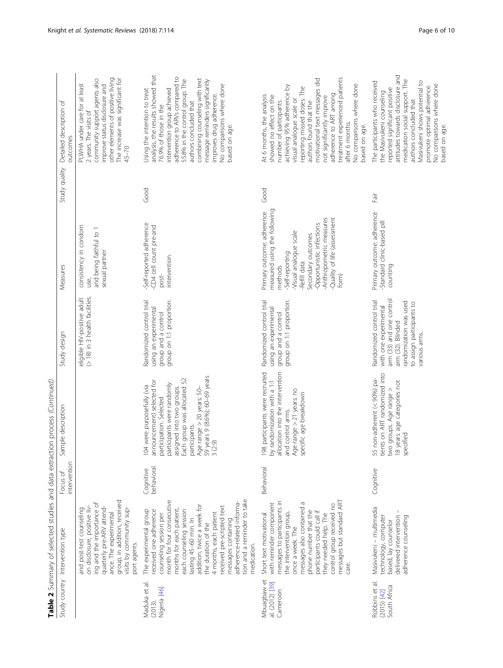Table 2 Summary of selected studies and data extraction process (Continued) **Table 2** Summary of selected studies and data extraction process (Continued)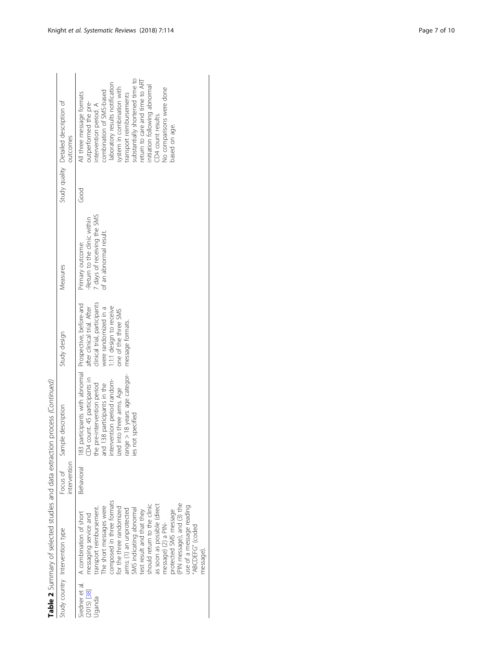|                                        |                                                                                                                                                                                                                                                                                                                                                                                                                                                             |                          | Table 2 Summary of selected studies and data extraction process (Continued)                                                                                                                                                                                              |                                                                                                                                                            |                                                                                                           |      |                                                                                                                                                                                                                                                                                                                                                                             |
|----------------------------------------|-------------------------------------------------------------------------------------------------------------------------------------------------------------------------------------------------------------------------------------------------------------------------------------------------------------------------------------------------------------------------------------------------------------------------------------------------------------|--------------------------|--------------------------------------------------------------------------------------------------------------------------------------------------------------------------------------------------------------------------------------------------------------------------|------------------------------------------------------------------------------------------------------------------------------------------------------------|-----------------------------------------------------------------------------------------------------------|------|-----------------------------------------------------------------------------------------------------------------------------------------------------------------------------------------------------------------------------------------------------------------------------------------------------------------------------------------------------------------------------|
|                                        | Study country Intervention type                                                                                                                                                                                                                                                                                                                                                                                                                             | intervention<br>Focus of | Sample description                                                                                                                                                                                                                                                       | Study design                                                                                                                                               | Measures                                                                                                  |      | Study quality Detailed description of<br>outcomes                                                                                                                                                                                                                                                                                                                           |
| Siedner et al.<br>2015) [38]<br>Jqanda | composed in three formats<br>(PIN message), and (3) the<br>should return to the clinic<br>as soon as possible (direct<br>use of a message reading<br>The short messages were<br>for the three randomized<br>transport reimbursement.<br>SMS indicating abnormal<br>arms: (1) an unprotected<br>protected SMS message<br>test result and that they<br>A combination of short<br>messaging service and<br>message) (2) a PIN-<br>'ABCDEFG" (coded<br>message) | <b>Behavioral</b>        | 183 participants with abnormal Prospective, before-and<br>range > 18 years: age categor-<br>CD4 count. 45 participants in<br>intervention period random-<br>the pre-intervention period<br>and 138 participants in the<br>ized into three arms. Age<br>ies not specified | clinical trial, participants<br>1:1:1 design to receive<br>after clinical trial. After<br>were randomized in a<br>one of the three SMS<br>message formats. | 7 days of receiving the SMS<br>-Return to the clinic within<br>of an abnormal result.<br>Primary outcome: | Good | substantially shortened time to<br>return to care and time to ART<br>laboratory results notification<br>nitiation following abnormal<br>system in combination with<br>No comparisons were done<br>combination of SMS-based<br>All three message formats<br>transport reimbursements<br>outperformed the pre-<br>ntervention period. A<br>D4 count results.<br>based on age. |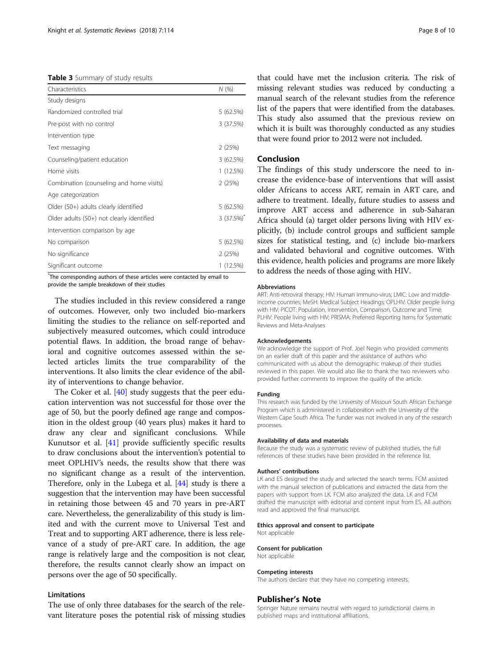<span id="page-7-0"></span>Table 3 Summary of study results

| Characteristics                           | N(%)         |
|-------------------------------------------|--------------|
| Study designs                             |              |
| Randomized controlled trial               | 5(62.5%)     |
| Pre-post with no control                  | 3(37.5%)     |
| Intervention type                         |              |
| Text messaging                            | 2(25%)       |
| Counseling/patient education              | 3(62.5%)     |
| Home visits                               | 1 (12.5%)    |
| Combination (counseling and home visits)  | 2(25%)       |
| Age categorization                        |              |
| Older (50+) adults clearly identified     | 5(62.5%)     |
| Older adults (50+) not clearly identified | $3(37.5%)^*$ |
| Intervention comparison by age            |              |
| No comparison                             | 5(62.5%)     |
| No significance                           | 2(25%)       |
| Significant outcome                       | 1 (12.5%)    |

\* The corresponding authors of these articles were contacted by email to provide the sample breakdown of their studies

The studies included in this review considered a range of outcomes. However, only two included bio-markers limiting the studies to the reliance on self-reported and subjectively measured outcomes, which could introduce potential flaws. In addition, the broad range of behavioral and cognitive outcomes assessed within the selected articles limits the true comparability of the interventions. It also limits the clear evidence of the ability of interventions to change behavior.

The Coker et al. [[40\]](#page-9-0) study suggests that the peer education intervention was not successful for those over the age of 50, but the poorly defined age range and composition in the oldest group (40 years plus) makes it hard to draw any clear and significant conclusions. While Kunutsor et al. [\[41\]](#page-9-0) provide sufficiently specific results to draw conclusions about the intervention's potential to meet OPLHIV's needs, the results show that there was no significant change as a result of the intervention. Therefore, only in the Lubega et al. [\[44\]](#page-9-0) study is there a suggestion that the intervention may have been successful in retaining those between 45 and 70 years in pre-ART care. Nevertheless, the generalizability of this study is limited and with the current move to Universal Test and Treat and to supporting ART adherence, there is less relevance of a study of pre-ART care. In addition, the age range is relatively large and the composition is not clear, therefore, the results cannot clearly show an impact on persons over the age of 50 specifically.

## Limitations

The use of only three databases for the search of the relevant literature poses the potential risk of missing studies

that could have met the inclusion criteria. The risk of missing relevant studies was reduced by conducting a manual search of the relevant studies from the reference list of the papers that were identified from the databases. This study also assumed that the previous review on which it is built was thoroughly conducted as any studies that were found prior to 2012 were not included.

## Conclusion

The findings of this study underscore the need to increase the evidence-base of interventions that will assist older Africans to access ART, remain in ART care, and adhere to treatment. Ideally, future studies to assess and improve ART access and adherence in sub-Saharan Africa should (a) target older persons living with HIV explicitly, (b) include control groups and sufficient sample sizes for statistical testing, and (c) include bio-markers and validated behavioral and cognitive outcomes. With this evidence, health policies and programs are more likely to address the needs of those aging with HIV.

#### Abbreviations

ART: Anti-retroviral therapy; HIV: Human immuno-virus; LMIC: Low and middleincome countries; MeSH: Medical Subject Headings; OPLHIV: Older people living with HIV; PICOT: Population, Intervention, Comparison, Outcome and Time; PLHIV: People living with HIV; PRISMA: Preferred Reporting Items for Systematic Reviews and Meta-Analyses

### Acknowledgements

We acknowledge the support of Prof. Joel Negin who provided comments on an earlier draft of this paper and the assistance of authors who communicated with us about the demographic makeup of their studies reviewed in this paper. We would also like to thank the two reviewers who provided further comments to improve the quality of the article.

#### Funding

This research was funded by the University of Missouri South African Exchange Program which is administered in collaboration with the University of the Western Cape South Africa. The funder was not involved in any of the research processes.

#### Availability of data and materials

Because the study was a systematic review of published studies, the full references of these studies have been provided in the reference list.

#### Authors' contributions

LK and ES designed the study and selected the search terms. FCM assisted with the manual selection of publications and extracted the data from the papers with support from LK. FCM also analyzed the data. LK and FCM drafted the manuscript with editorial and content input from ES. All authors read and approved the final manuscript.

#### Ethics approval and consent to participate

Not applicable

#### Consent for publication

Not applicable

## Competing interests

The authors declare that they have no competing interests.

#### Publisher's Note

Springer Nature remains neutral with regard to jurisdictional claims in published maps and institutional affiliations.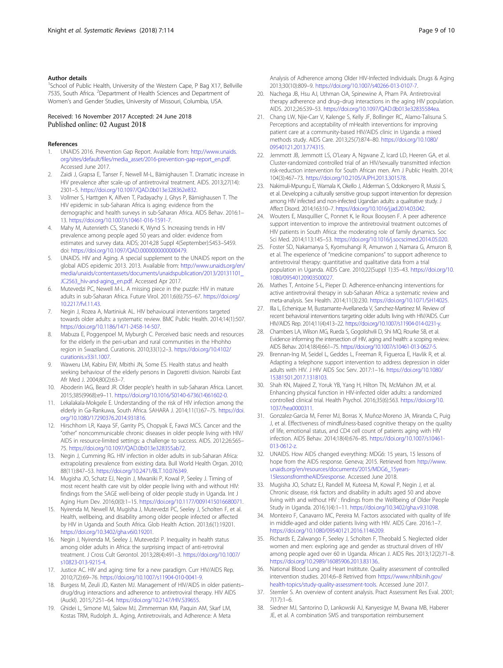## <span id="page-8-0"></span>Author details

<sup>1</sup>School of Public Health, University of the Western Cape, P Bag X17, Bellville 7535, South Africa. <sup>2</sup>Department of Health Sciences and Department of Women's and Gender Studies, University of Missouri, Columbia, USA.

## Received: 16 November 2017 Accepted: 24 June 2018 Published online: 02 August 2018

### References

- 1. UNAIDS 2016. Prevention Gap Report. Available from: [http://www.unaids.](http://www.unaids.org/sites/default/files/media_asset/2016-prevention-gap-report_en.pdf) [org/sites/default/files/media\\_asset/2016-prevention-gap-report\\_en.pdf](http://www.unaids.org/sites/default/files/media_asset/2016-prevention-gap-report_en.pdf). Accessed June 2017.
- 2. Zaidi J, Grapsa E, Tanser F, Newell M-L, Bärnighausen T. Dramatic increase in HIV prevalence after scale-up of antiretroviral treatment. AIDS. 2013;27(14): 2301–5. [https://doi.org/10.1097/QAD.0b013e328362e832.](https://doi.org/10.1097/QAD.0b013e328362e832)
- 3. Vollmer S, Harttgen K, Alfven T, Padayachy J, Ghys P, Bärnighausen T. The HIV epidemic in sub-Saharan Africa is aging: evidence from the demographic and health surveys in sub-Saharan Africa. AIDS Behav. 2016:1– 13. <https://doi.org/10.1007/s10461-016-1591-7.>
- 4. Mahy M, Autenrieth CS, Stanecki K, Wynd S. Increasing trends in HIV prevalence among people aged 50 years and older: evidence from estimates and survey data. AIDS; 2014;28 Suppl 4(September):S453–S459. doi: [https://doi.org/10.1097/QAD.0000000000000479.](https://doi.org/10.1097/QAD.0000000000000479)
- UNAIDS. HIV and Aging. A special supplement to the UNAIDS report on the global AIDS epidemic 2013. 2013. Available from: [http://www.unaids.org/en/](http://www.unaids.org/en/media/unaids/contentassets/documents/unaidspublication/2013/20131101_JC2563_hiv-and-aging_en.pdf) [media/unaids/contentassets/documents/unaidspublication/2013/20131101\\_](http://www.unaids.org/en/media/unaids/contentassets/documents/unaidspublication/2013/20131101_JC2563_hiv-and-aging_en.pdf) [JC2563\\_hiv-and-aging\\_en.pdf](http://www.unaids.org/en/media/unaids/contentassets/documents/unaidspublication/2013/20131101_JC2563_hiv-and-aging_en.pdf). Accessed Apr 2017.
- 6. Mutevedzi PC, Newell M-L. A missing piece in the puzzle: HIV in mature adults in sub-Saharan Africa. Future Virol. 2011;6(6):755–67. [https://doi.org/](https://doi.org/10.2217/fvl.11.43) [10.2217/fvl.11.43](https://doi.org/10.2217/fvl.11.43).
- Negin J, Rozea A, Martiniuk AL. HIV behavioural interventions targeted towards older adults: a systematic review. BMC Public Health. 2014;14(1):507. [https://doi.org/10.1186/1471-2458-14-507.](https://doi.org/10.1186/1471-2458-14-507)
- Mabuza E, Poggenpoel M, Myburgh C. Perceived basic needs and resources for the elderly in the peri-urban and rural communities in the Hhohho region in Swaziland. Curationis. 2010;33(1):2–3. [https://doi.org/10.4102/](https://doi.org/10.4102/curationis.v33i1.1007) [curationis.v33i1.1007.](https://doi.org/10.4102/curationis.v33i1.1007)
- 9. Waweru LM, Kabiru EW, Mbithi JN, Some ES. Health status and health seeking behaviour of the elderly persons in Dagoretti division. Nairobi East Afr Med J. 2004;80(2):63–7.
- 10. Aboderin IAG, Beard JR. Older people's health in sub-Saharan Africa. Lancet. 2015;385(9968):e9–11. [https://doi.org/10.1016/S0140-6736\(14\)61602-0.](https://doi.org/10.1016/S0140-6736(14)61602-0)
- 11. Lekalakala-Mokgele E. Understanding of the risk of HIV infection among the elderly in Ga-Rankuwa, South Africa. SAHARA J. 2014;11(1):67–75. [https://doi.](https://doi.org/10.1080/17290376.2014.931816) [org/10.1080/17290376.2014.931816.](https://doi.org/10.1080/17290376.2014.931816)
- 12. Hirschhorn LR, Kaaya SF, Garrity PS, Chopyak E, Fawzi MCS. Cancer and the "other" noncommunicable chronic diseases in older people living with HIV/ AIDS in resource-limited settings: a challenge to success. AIDS. 2012;26:S65– 75. <https://doi.org/10.1097/QAD.0b013e328355ab72>.
- 13. Negin J, Cumming RG. HIV infection in older adults in sub-Saharan Africa: extrapolating prevalence from existing data. Bull World Health Organ. 2010; 88(11):847–53. <https://doi.org/10.2471/BLT.10.076349>.
- 14. Mugisha JO, Schatz EJ, Negin J, Mwaniki P, Kowal P, Seeley J. Timing of most recent health care visit by older people living with and without HIV: findings from the SAGE well-being of older people study in Uganda. Int J Aging Hum Dev. 2016;0(0):1–15. <https://doi.org/10.1177/0091415016680071>.
- 15. Nyirenda M, Newell M, Mugisha J, Mutevedzi PC, Seeley J, Scholten F, et al. Health, wellbeing, and disability among older people infected or affected by HIV in Uganda and South Africa. Glob Health Action. 2013;6(1):19201. [https://doi.org/10.3402/gha.v6i0.19201.](https://doi.org/10.3402/gha.v6i0.19201)
- 16. Negin J, Nyirenda M, Seeley J, Mutevedzi P. Inequality in health status among older adults in Africa: the surprising impact of anti-retroviral treatment. J Cross Cult Gerontol. 2013;28(4):491–3. [https://doi.org/10.1007/](https://doi.org/10.1007/s10823-013-9215-4) [s10823-013-9215-4.](https://doi.org/10.1007/s10823-013-9215-4)
- 17. Justice AC. HIV and aging: time for a new paradigm. Curr HIV/AIDS Rep. 2010;7(2):69–76. <https://doi.org/10.1007/s11904-010-0041-9>.
- 18. Burgess M, Zeuli JD, Kasten MJ. Management of HIV/AIDS in older patients– drug/drug interactions and adherence to antiretroviral therapy. HIV AIDS (Auckl). 2015;7:251–64. [https://doi.org/10.2147/HIV.S39655.](https://doi.org/10.2147/HIV.S39655)
- 19. Ghidei L, Simone MJ, Salow MJ, Zimmerman KM, Paquin AM, Skarf LM, Kostas TRM, Rudolph JL. Aging, Antiretrovirals, and Adherence: A Meta

Analysis of Adherence among Older HIV-Infected Individuals. Drugs & Aging 2013;30(10):809–9. <https://doi.org/10.1007/s40266-013-0107-7>.

- 20. Nachega JB, Hsu AJ, Uthman OA, Spinewine A, Pham PA. Antiretroviral therapy adherence and drug–drug interactions in the aging HIV population. AIDS. 2012;26:S39–53. [https://doi.org/10.1097/QAD.0b013e32835584ea.](https://doi.org/10.1097/QAD.0b013e32835584ea)
- 21. Chang LW, Njie-Carr V, Kalenge S, Kelly JF, Bollinger RC, Alamo-Talisuna S. Perceptions and acceptability of mHealth interventions for improving patient care at a community-based HIV/AIDS clinic in Uganda: a mixed methods study. AIDS Care. 2013;25(7):874–80. [https://doi.org/10.1080/](https://doi.org/10.1080/09540121.2013.774315) [09540121.2013.774315.](https://doi.org/10.1080/09540121.2013.774315)
- 22. Jemmott JB, Jemmott LS, O'Leary A, Ngwane Z, Icard LD, Heeren GA, et al. Cluster-randomized controlled trial of an HIV/sexually transmitted infection risk-reduction intervention for South African men. Am J Public Health. 2014; 104(3):467–73. [https://doi.org/10.2105/AJPH.2013.301578.](https://doi.org/10.2105/AJPH.2013.301578)
- 23. Nakimuli-Mpungu E, Wamala K, Okello J, Alderman S, Odokonyero R, Musisi S, et al. Developing a culturally sensitive group support intervention for depression among HIV infected and non-infected Ugandan adults: a qualitative study. J Affect Disord. 2014;163:10–7. [https://doi.org/10.1016/j.jad.2014.03.042.](https://doi.org/10.1016/j.jad.2014.03.042)
- 24. Wouters E, Masquillier C, Ponnet K, le Roux Booysen F. A peer adherence support intervention to improve the antiretroviral treatment outcomes of HIV patients in South Africa: the moderating role of family dynamics. Soc Sci Med. 2014;113:145–53. [https://doi.org/10.1016/j.socscimed.2014.05.020.](https://doi.org/10.1016/j.socscimed.2014.05.020)
- 25. Foster SD, Nakamanya S, Kyomuhangi R, Amurwon J, Namara G, Amuron B, et al. The experience of "medicine companions" to support adherence to antiretroviral therapy: quantitative and qualitative data from a trial population in Uganda. AIDS Care. 2010;22(Suppl 1):35–43. [https://doi.org/10.](https://doi.org/10.1080/09540120903500027) [1080/09540120903500027.](https://doi.org/10.1080/09540120903500027)
- 26. Mathes T, Antoine S-L, Pieper D. Adherence-enhancing interventions for active antiretroviral therapy in sub-Saharan Africa: a systematic review and meta-analysis. Sex Health. 2014;11(3):230. <https://doi.org/10.1071/SH14025>.
- 27. Illa L, Echenique M, Bustamante-Avellaneda V, Sanchez-Martinez M. Review of recent behavioral interventions targeting older adults living with HIV/AIDS. Curr HIV/AIDS Rep. 2014;11(4):413–22. <https://doi.org/10.1007/s11904-014-0231-y>.
- 28. Chambers LA, Wilson MG, Rueda S, Gogolishvili D, Shi MQ, Rourke SB, et al. Evidence informing the intersection of HIV, aging and health: a scoping review. AIDS Behav. 2014;18(4):661–75. <https://doi.org/10.1007/s10461-013-0627-5>.
- 29. Brennan-Ing M, Seidel L, Geddes L, Freeman R, Figueroa E, Havlik R, et al. Adapting a telephone support intervention to address depression in older adults with HIV. J HIV AIDS Soc Serv. 2017:1–16. [https://doi.org/10.1080/](https://doi.org/10.1080/15381501.2017.1318103.) [15381501.2017.1318103.](https://doi.org/10.1080/15381501.2017.1318103.)
- 30. Shah KN, Majeed Z, Yoruk YB, Yang H, Hilton TN, McMahon JM, et al. Enhancing physical function in HIV-infected older adults: a randomized controlled clinical trial. Health Psychol. 2016;35(6):563. [https://doi.org/10.](https://doi.org/10.1037/hea0000311) [1037/hea0000311](https://doi.org/10.1037/hea0000311).
- 31. Gonzalez-Garcia M, Ferrer MJ, Borras X, Muñoz-Moreno JA, Miranda C, Puig J, et al. Effectiveness of mindfulness-based cognitive therapy on the quality of life, emotional status, and CD4 cell count of patients aging with HIV infection. AIDS Behav. 2014;18(4):676–85. [https://doi.org/10.1007/s10461-](https://doi.org/10.1007/s10461-013-0612-z) [013-0612-z.](https://doi.org/10.1007/s10461-013-0612-z)
- 32. UNAIDS. How AIDS changed everything: MDG6: 15 years, 15 lessons of hope from the AIDS response. Geneva; 2015. Retrieved from [http://www.](http://www.unaids.org/en/resources/documents/2015/MDG6_15years-15lessonsfromtheAIDSresponse) [unaids.org/en/resources/documents/2015/MDG6\\_15years-](http://www.unaids.org/en/resources/documents/2015/MDG6_15years-15lessonsfromtheAIDSresponse)[15lessonsfromtheAIDSresponse.](http://www.unaids.org/en/resources/documents/2015/MDG6_15years-15lessonsfromtheAIDSresponse) Accessed June 2018.
- 33. Mugisha JO, Schatz EJ, Randell M, Kuteesa M, Kowal P, Negin J, et al. Chronic disease, risk factors and disability in adults aged 50 and above living with and without HIV : findings from the Wellbeing of Older People Study in Uganda. 2016;1(4):1–11. [https://doi.org/10.3402/gha.v9.31098.](https://doi.org/10.3402/gha.v9.31098)
- 34. Monteiro F, Canavarro MC, Pereira M. Factors associated with quality of life in middle-aged and older patients living with HIV. AIDS Care. 2016:1–7. <https://doi.org/10.1080/09540121.2016.1146209>.
- 35. Richards E, Zalwango F, Seeley J, Scholten F, Theobald S. Neglected older women and men: exploring age and gender as structural drivers of HIV among people aged over 60 in Uganda. African J. AIDS Res. 2013;12(2):71–8. <https://doi.org/10.2989/16085906.2013.83136.>.
- 36. National Blood Lung and Heart Insititute. Quality assessment of controlled intervention studies. 2014;6–8 Retrived from [https://www.nhlbi.nih.gov/](https://www.nhlbi.nih.gov/health-topics/study-quality-assessment-tools) [health-topics/study-quality-assessment-tools.](https://www.nhlbi.nih.gov/health-topics/study-quality-assessment-tools) Accessed June 2017.
- 37. Stemler S. An overview of content analysis. Pract Assessment Res Eval. 2001; 7(17):1–6.
- 38. Siedner MJ, Santorino D, Lankowski AJ, Kanyesigye M, Bwana MB, Haberer JE, et al. A combination SMS and transportation reimbursement